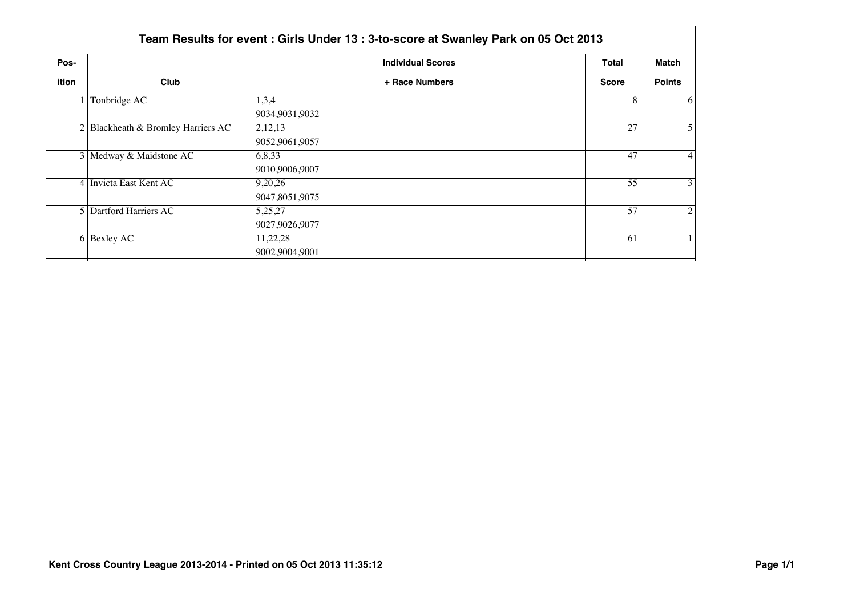|       | Team Results for event: Girls Under 13: 3-to-score at Swanley Park on 05 Oct 2013 |                            |              |                 |  |
|-------|-----------------------------------------------------------------------------------|----------------------------|--------------|-----------------|--|
| Pos-  |                                                                                   | <b>Individual Scores</b>   | Total        | Match           |  |
| ition | Club                                                                              | + Race Numbers             | <b>Score</b> | <b>Points</b>   |  |
|       | Tonbridge AC                                                                      | 1,3,4<br>9034,9031,9032    | 8            | <sup>6</sup>    |  |
|       | $2$ Blackheath & Bromley Harriers AC                                              | 2,12,13<br>9052,9061,9057  | 27           | 5 <sup>1</sup>  |  |
|       | 3 Medway & Maidstone AC                                                           | 6,8,33<br>9010,9006,9007   | 47           | $\vert 4 \vert$ |  |
|       | 4 Invicta East Kent AC                                                            | 9,20,26<br>9047,8051,9075  | 55           | $\vert 3 \vert$ |  |
|       | 5 Dartford Harriers AC                                                            | 5,25,27<br>9027,9026,9077  | 57           | $\overline{2}$  |  |
|       | $6$ Bexley AC                                                                     | 11,22,28<br>9002,9004,9001 | 61           |                 |  |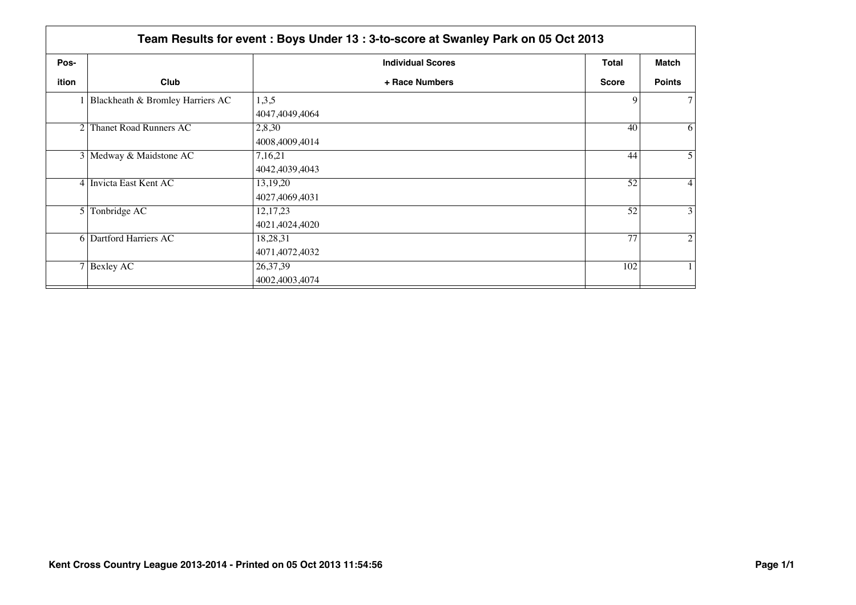|                | Team Results for event: Boys Under 13: 3-to-score at Swanley Park on 05 Oct 2013 |                              |              |                  |  |
|----------------|----------------------------------------------------------------------------------|------------------------------|--------------|------------------|--|
| Pos-           |                                                                                  | <b>Individual Scores</b>     | <b>Total</b> | Match            |  |
| ition          | Club                                                                             | + Race Numbers               | <b>Score</b> | <b>Points</b>    |  |
|                | 1 Blackheath & Bromley Harriers AC                                               | 1,3,5<br>4047,4049,4064      | 9            | 7 <sup>1</sup>   |  |
| 2              | <b>Thanet Road Runners AC</b>                                                    | 2,8,30<br>4008,4009,4014     | 40           | $\vert 6 \vert$  |  |
|                | 3 Medway & Maidstone AC                                                          | 7,16,21<br>4042,4039,4043    | 44           | 5 <sup>1</sup>   |  |
|                | 4 Invicta East Kent AC                                                           | 13, 19, 20<br>4027,4069,4031 | 52           | $\left 4\right $ |  |
| 5 <sup>1</sup> | Tonbridge AC                                                                     | 12, 17, 23<br>4021,4024,4020 | 52           | 3 <sup>1</sup>   |  |
|                | 6 Dartford Harriers AC                                                           | 18,28,31<br>4071,4072,4032   | 77           | $\overline{2}$   |  |
|                | $7$ Bexley AC                                                                    | 26, 37, 39<br>4002,4003,4074 | 102          |                  |  |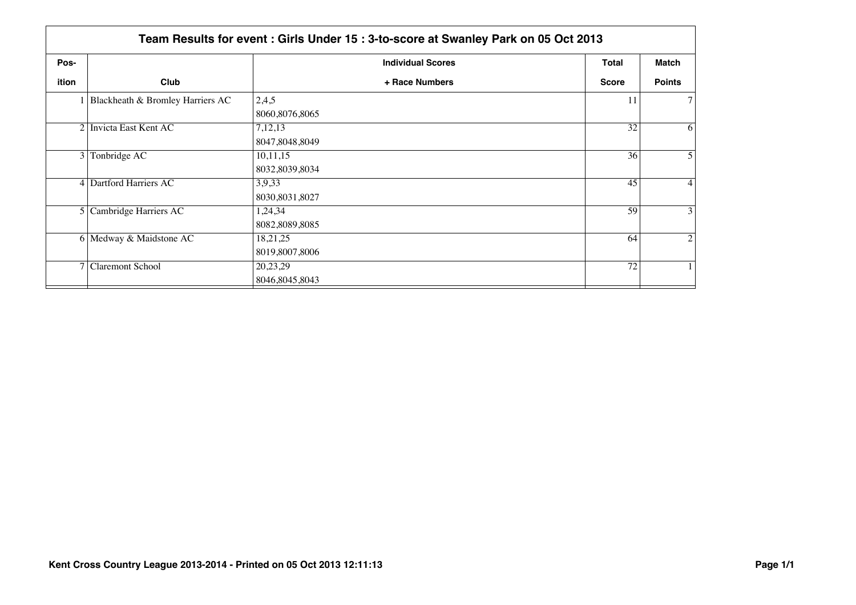|                | Team Results for event: Girls Under 15: 3-to-score at Swanley Park on 05 Oct 2013 |                              |                 |                  |  |
|----------------|-----------------------------------------------------------------------------------|------------------------------|-----------------|------------------|--|
| Pos-           |                                                                                   | <b>Individual Scores</b>     | <b>Total</b>    | Match            |  |
| ition          | Club                                                                              | + Race Numbers               | <b>Score</b>    | <b>Points</b>    |  |
|                | Blackheath & Bromley Harriers AC                                                  | 2,4,5<br>8060,8076,8065      | 11              | 7 <sup>1</sup>   |  |
|                | 2 Invicta East Kent AC                                                            | 7,12,13<br>8047,8048,8049    | $\overline{32}$ | $\vert 6 \vert$  |  |
| 3 <sup>1</sup> | Tonbridge AC                                                                      | 10,11,15<br>8032,8039,8034   | 36              | 5 <sup>1</sup>   |  |
|                | 4 Dartford Harriers AC                                                            | 3,9,33<br>8030,8031,8027     | 45              | $\left 4\right $ |  |
|                | 5 Cambridge Harriers AC                                                           | 1,24,34<br>8082,8089,8085    | 59              | 3 <sup>1</sup>   |  |
|                | 6 Medway & Maidstone AC                                                           | 18,21,25<br>8019,8007,8006   | 64              | $\overline{2}$   |  |
|                | 7 Claremont School                                                                | 20,23,29<br>8046, 8045, 8043 | 72              |                  |  |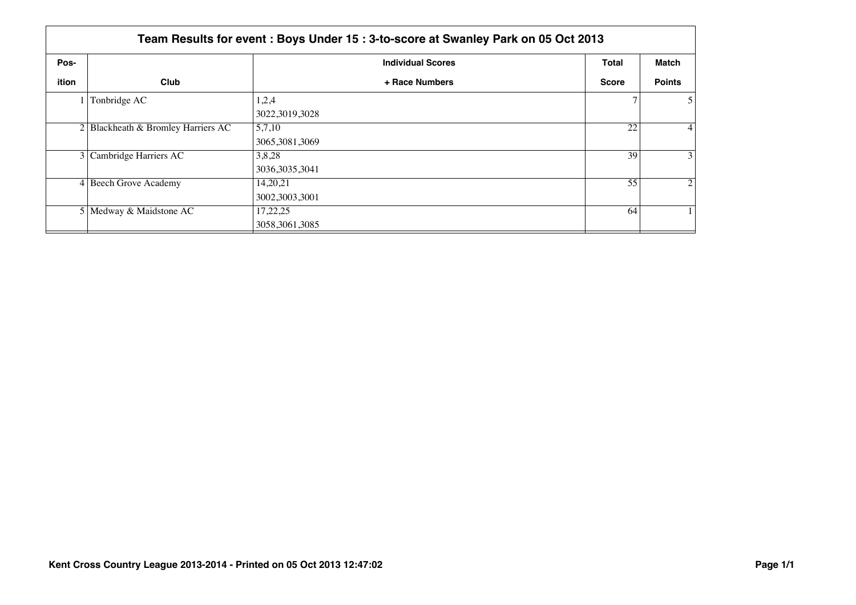|       | Team Results for event: Boys Under 15: 3-to-score at Swanley Park on 05 Oct 2013 |                            |              |                 |  |
|-------|----------------------------------------------------------------------------------|----------------------------|--------------|-----------------|--|
| Pos-  |                                                                                  | <b>Individual Scores</b>   | <b>Total</b> | <b>Match</b>    |  |
| ition | Club                                                                             | + Race Numbers             | <b>Score</b> | <b>Points</b>   |  |
|       | Tonbridge AC                                                                     | 1,2,4<br>3022,3019,3028    |              | 51              |  |
|       | $2 $ Blackheath & Bromley Harriers AC                                            | 5,7,10<br>3065, 3081, 3069 | 22           | $\vert 4 \vert$ |  |
|       | 3 Cambridge Harriers AC                                                          | 3,8,28<br>3036, 3035, 3041 | 39           | $\frac{3}{ }$   |  |
|       | 4 Beech Grove Academy                                                            | 14,20,21<br>3002,3003,3001 | 55           | $\overline{2}$  |  |
|       | 5 Medway & Maidstone AC                                                          | 17,22,25<br>3058,3061,3085 | 64           |                 |  |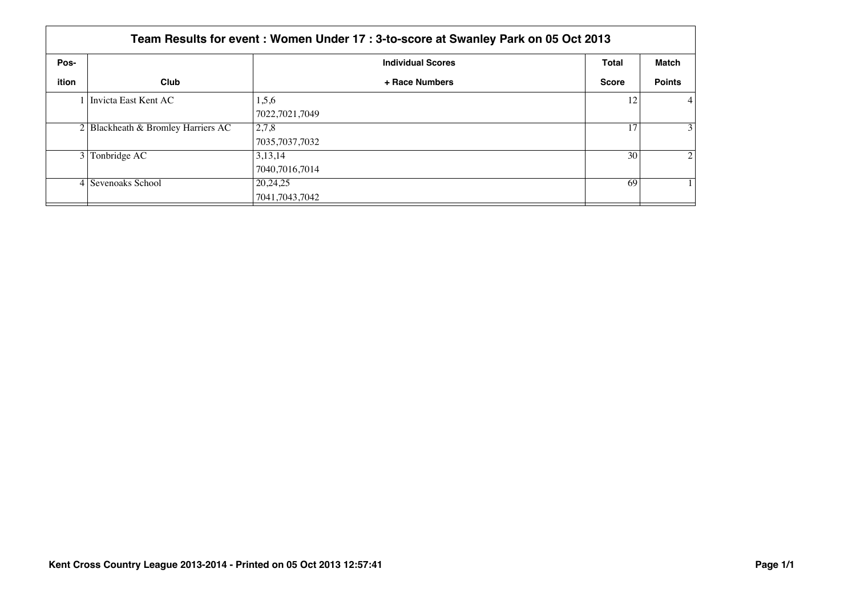|       | Team Results for event: Women Under 17 : 3-to-score at Swanley Park on 05 Oct 2013 |                          |              |                 |  |
|-------|------------------------------------------------------------------------------------|--------------------------|--------------|-----------------|--|
| Pos-  |                                                                                    | <b>Individual Scores</b> | <b>Total</b> | Match           |  |
| ition | Club                                                                               | + Race Numbers           | <b>Score</b> | <b>Points</b>   |  |
|       | 1 Invicta East Kent AC                                                             | 1,5,6                    | 12           | $\vert 4 \vert$ |  |
|       |                                                                                    | 7022,7021,7049           |              |                 |  |
|       | $2 $ Blackheath & Bromley Harriers AC                                              | 2,7,8                    | 17           | 3 <sup>1</sup>  |  |
|       |                                                                                    | 7035,7037,7032           |              |                 |  |
| 3 I   | Tonbridge AC                                                                       | 3,13,14                  | 30           | $\overline{2}$  |  |
|       |                                                                                    | 7040,7016,7014           |              |                 |  |
|       | 4 Sevenoaks School                                                                 | 20,24,25                 | 69           |                 |  |
|       |                                                                                    | 7041,7043,7042           |              |                 |  |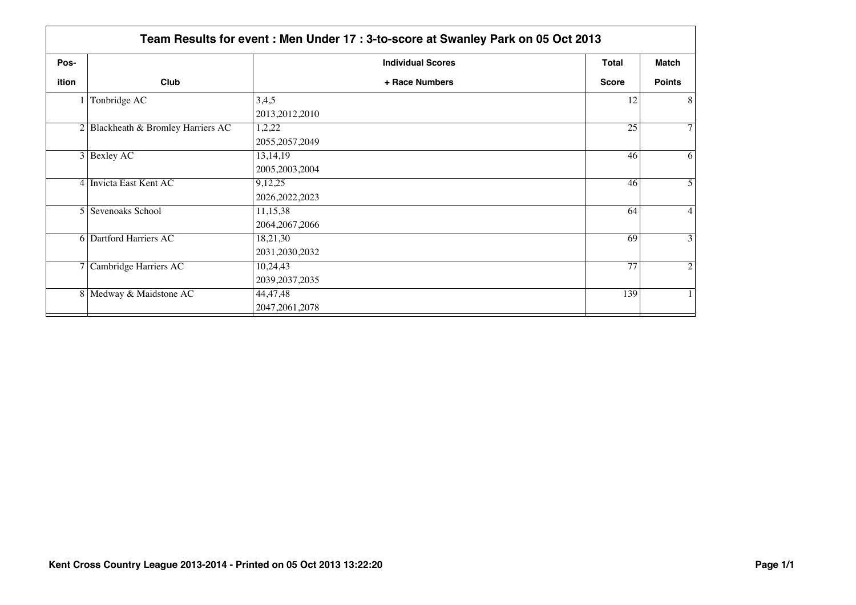|                | Team Results for event: Men Under 17: 3-to-score at Swanley Park on 05 Oct 2013 |                          |              |                   |
|----------------|---------------------------------------------------------------------------------|--------------------------|--------------|-------------------|
| Pos-           |                                                                                 | <b>Individual Scores</b> | <b>Total</b> | Match             |
| ition          | Club                                                                            | + Race Numbers           | <b>Score</b> | <b>Points</b>     |
|                | Tonbridge AC                                                                    | 3,4,5                    | 12           | 8 <sup>1</sup>    |
|                |                                                                                 | 2013, 2012, 2010         |              |                   |
|                | $2$ Blackheath & Bromley Harriers AC                                            | 1,2,22                   | 25           | 7 <sup>1</sup>    |
|                |                                                                                 | 2055, 2057, 2049         |              |                   |
|                | $3$ Bexley AC                                                                   | 13, 14, 19               | 46           | 6                 |
|                |                                                                                 | 2005, 2003, 2004         |              |                   |
|                | 4 Invicta East Kent AC                                                          | 9,12,25                  | 46           | $\overline{5}$    |
|                |                                                                                 | 2026, 2022, 2023         |              |                   |
| 5 <sup>1</sup> | Sevenoaks School                                                                | 11,15,38                 | 64           | $\left 4\right $  |
|                |                                                                                 | 2064, 2067, 2066         |              |                   |
|                | <b>6</b> Dartford Harriers AC                                                   | 18,21,30                 | 69           | $\lvert 3 \rvert$ |
|                |                                                                                 | 2031, 2030, 2032         |              |                   |
| 7 I            | Cambridge Harriers AC                                                           | 10,24,43                 | 77           | $\overline{2}$    |
|                |                                                                                 | 2039, 2037, 2035         |              |                   |
|                | 8 Medway & Maidstone AC                                                         | 44,47,48                 | 139          |                   |
|                |                                                                                 | 2047, 2061, 2078         |              |                   |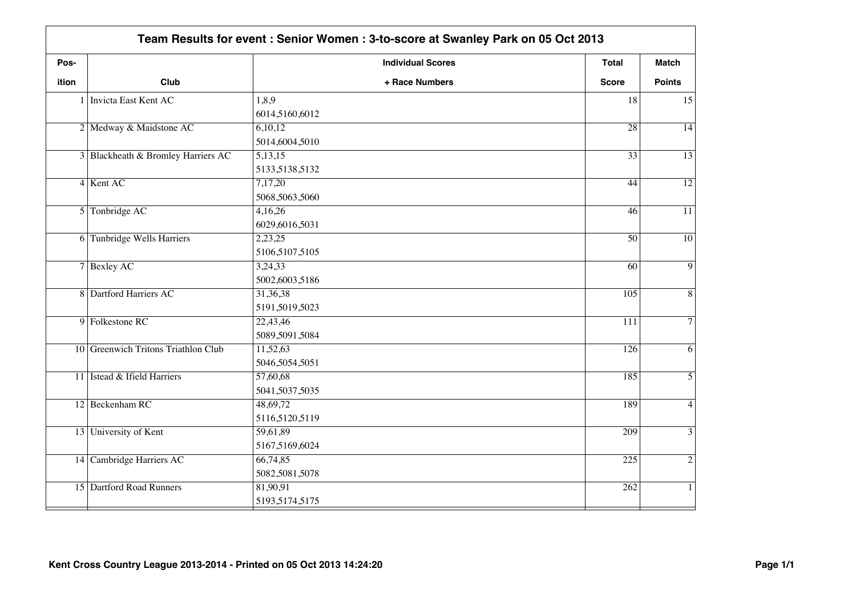| Pos-  |                                     | <b>Individual Scores</b> | <b>Total</b>     | <b>Match</b>    |
|-------|-------------------------------------|--------------------------|------------------|-----------------|
| ition | Club                                | + Race Numbers           | <b>Score</b>     | <b>Points</b>   |
|       | 1   Invicta East Kent AC            | 1,8,9                    | 18               | 15              |
|       |                                     | 6014,5160,6012           |                  |                 |
|       | 2 Medway & Maidstone AC             | 6,10,12                  | $\overline{28}$  | $\overline{14}$ |
|       |                                     | 5014,6004,5010           |                  |                 |
|       | 3 Blackheath & Bromley Harriers AC  | 5,13,15                  | $\overline{33}$  | $\overline{13}$ |
|       |                                     | 5133,5138,5132           |                  |                 |
|       | 4 Kent AC                           | 7,17,20                  | 44               | $\overline{12}$ |
|       |                                     | 5068,5063,5060           |                  |                 |
|       | 5 Tonbridge AC                      | 4,16,26                  | 46               | $\overline{11}$ |
|       |                                     | 6029,6016,5031           |                  |                 |
|       | 6 Tunbridge Wells Harriers          | 2,23,25                  | $\overline{50}$  | $\overline{10}$ |
|       |                                     | 5106,5107,5105           |                  |                 |
|       | 7 Bexley AC                         | 3,24,33                  | 60               | $\overline{9}$  |
|       |                                     | 5002,6003,5186           |                  |                 |
|       | 8 Dartford Harriers AC              | 31,36,38                 | 105              | $\overline{8}$  |
|       |                                     | 5191,5019,5023           |                  |                 |
|       | 9 Folkestone RC                     | 22,43,46                 | 111              | $\overline{7}$  |
|       |                                     | 5089,5091,5084           |                  |                 |
|       | 10 Greenwich Tritons Triathlon Club | 11,52,63                 | $\overline{126}$ | $\overline{6}$  |
|       |                                     | 5046,5054,5051           |                  |                 |
|       | 11 Istead & Ifield Harriers         | 57,60,68                 | 185              | $\overline{5}$  |
|       |                                     | 5041,5037,5035           |                  |                 |
|       | 12 Beckenham RC                     | 48,69,72                 | 189              | $\overline{4}$  |
|       |                                     | 5116,5120,5119           |                  |                 |
|       | 13 University of Kent               | 59,61,89                 | $\overline{209}$ | $\overline{3}$  |
|       |                                     | 5167,5169,6024           |                  |                 |
|       | 14 Cambridge Harriers AC            | 66,74,85                 | $\overline{225}$ | $\overline{2}$  |
|       |                                     | 5082,5081,5078           |                  |                 |
|       | 15 Dartford Road Runners            | 81,90,91                 | 262              | $\mathbf{1}$    |
|       |                                     | 5193,5174,5175           |                  |                 |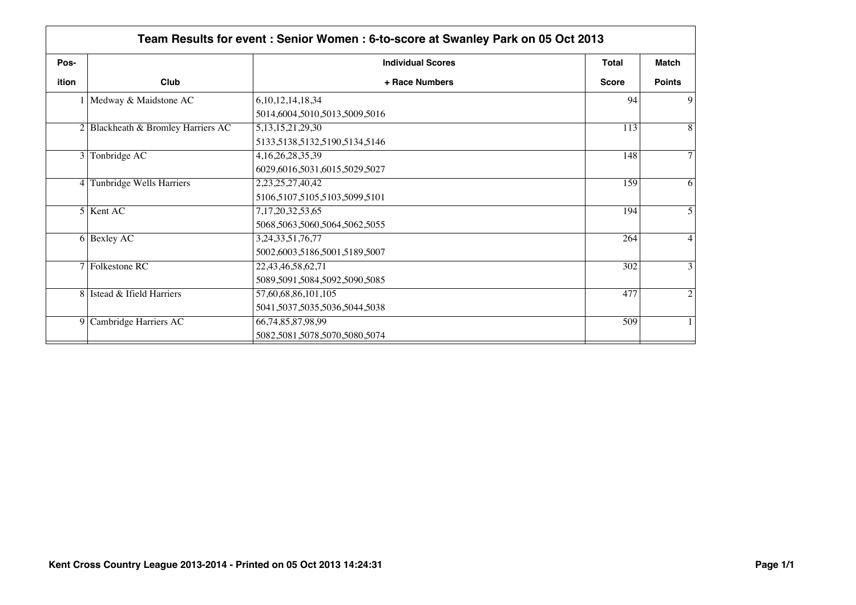| Pos-           |                                    | <b>Individual Scores</b>      | Total        | <b>Match</b>   |
|----------------|------------------------------------|-------------------------------|--------------|----------------|
| ition          | Club                               | + Race Numbers                | <b>Score</b> | <b>Points</b>  |
|                | Medway & Maidstone AC              | 6, 10, 12, 14, 18, 34         | 94           | 9              |
|                |                                    | 5014,6004,5010,5013,5009,5016 |              |                |
|                | 2 Blackheath & Bromley Harriers AC | 5, 13, 15, 21, 29, 30         | 113          | 8              |
|                |                                    | 5133,5138,5132,5190,5134,5146 |              |                |
| 3 <sup>1</sup> | Tonbridge AC                       | 4, 16, 26, 28, 35, 39         | 148          | $\tau$         |
|                |                                    | 6029,6016,5031,6015,5029,5027 |              |                |
|                | 4 Tunbridge Wells Harriers         | 2,23,25,27,40,42              | 159          | 6              |
|                |                                    | 5106,5107,5105,5103,5099,5101 |              |                |
|                | 5 Kent AC                          | 7, 17, 20, 32, 53, 65         | 194          | 5              |
|                |                                    | 5068,5063,5060,5064,5062,5055 |              |                |
|                | $6$ Bexley AC                      | 3,24,33,51,76,77              | 264          | $\overline{4}$ |
|                |                                    | 5002,6003,5186,5001,5189,5007 |              |                |
|                | 7 Folkestone RC                    | 22,43,46,58,62,71             | 302          | 3              |
|                |                                    | 5089,5091,5084,5092,5090,5085 |              |                |
|                | 8 Istead & Ifield Harriers         | 57,60,68,86,101,105           | 477          | 2              |
|                |                                    | 5041,5037,5035,5036,5044,5038 |              |                |
| 9              | Cambridge Harriers AC              | 66, 74, 85, 87, 98, 99        | 509          |                |
|                |                                    | 5082,5081,5078,5070,5080,5074 |              |                |
|                |                                    |                               |              |                |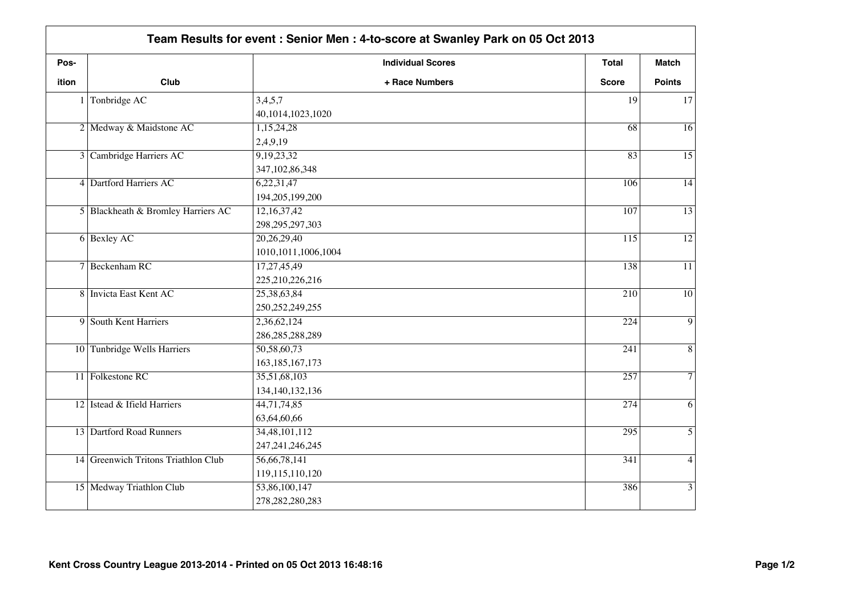|       | Team Results for event: Senior Men: 4-to-score at Swanley Park on 05 Oct 2013 |                          |                  |                 |
|-------|-------------------------------------------------------------------------------|--------------------------|------------------|-----------------|
| Pos-  |                                                                               | <b>Individual Scores</b> | <b>Total</b>     | <b>Match</b>    |
| ition | Club                                                                          | + Race Numbers           | <b>Score</b>     | <b>Points</b>   |
|       | 1 Tonbridge AC                                                                | 3,4,5,7                  | 19               | 17              |
|       |                                                                               | 40,1014,1023,1020        |                  |                 |
|       | 2 Medway & Maidstone AC                                                       | 1,15,24,28               | $\overline{68}$  | $\overline{16}$ |
|       |                                                                               | 2,4,9,19                 |                  |                 |
|       | 3 Cambridge Harriers AC                                                       | 9,19,23,32               | 83               | $\overline{15}$ |
|       |                                                                               | 347, 102, 86, 348        |                  |                 |
|       | 4 Dartford Harriers AC                                                        | 6,22,31,47               | 106              | $\overline{14}$ |
|       |                                                                               | 194,205,199,200          |                  |                 |
|       | 5 Blackheath & Bromley Harriers AC                                            | 12,16,37,42              | 107              | $\overline{13}$ |
|       |                                                                               | 298, 295, 297, 303       |                  |                 |
|       | 6 Bexley AC                                                                   | 20,26,29,40              | $\overline{115}$ | $\overline{12}$ |
|       |                                                                               | 1010, 1011, 1006, 1004   |                  |                 |
|       | 7 Beckenham RC                                                                | 17,27,45,49              | 138              | $\overline{11}$ |
|       |                                                                               | 225,210,226,216          |                  |                 |
|       | 8 Invicta East Kent AC                                                        | 25,38,63,84              | 210              | 10              |
|       |                                                                               | 250, 252, 249, 255       |                  |                 |
|       | 9 South Kent Harriers                                                         | 2,36,62,124              | 224              | $\overline{9}$  |
|       |                                                                               | 286, 285, 288, 289       |                  |                 |
|       | 10 Tunbridge Wells Harriers                                                   | 50,58,60,73              | 241              | $\overline{8}$  |
|       |                                                                               | 163, 185, 167, 173       |                  |                 |
|       | 11 Folkestone RC                                                              | 35,51,68,103             | 257              | $\overline{7}$  |
|       |                                                                               | 134, 140, 132, 136       |                  |                 |
|       | 12 Istead & Ifield Harriers                                                   | 44,71,74,85              | 274              | $\overline{6}$  |
|       |                                                                               | 63,64,60,66              |                  |                 |
|       | 13 Dartford Road Runners                                                      | 34,48,101,112            | 295              | $\overline{5}$  |
|       |                                                                               | 247, 241, 246, 245       |                  |                 |
|       | 14 Greenwich Tritons Triathlon Club                                           | 56,66,78,141             | 341              | $\overline{4}$  |
|       |                                                                               | 119,115,110,120          |                  |                 |
|       | 15 Medway Triathlon Club                                                      | 53,86,100,147            | 386              | $\overline{3}$  |
|       |                                                                               | 278, 282, 280, 283       |                  |                 |
|       |                                                                               |                          |                  |                 |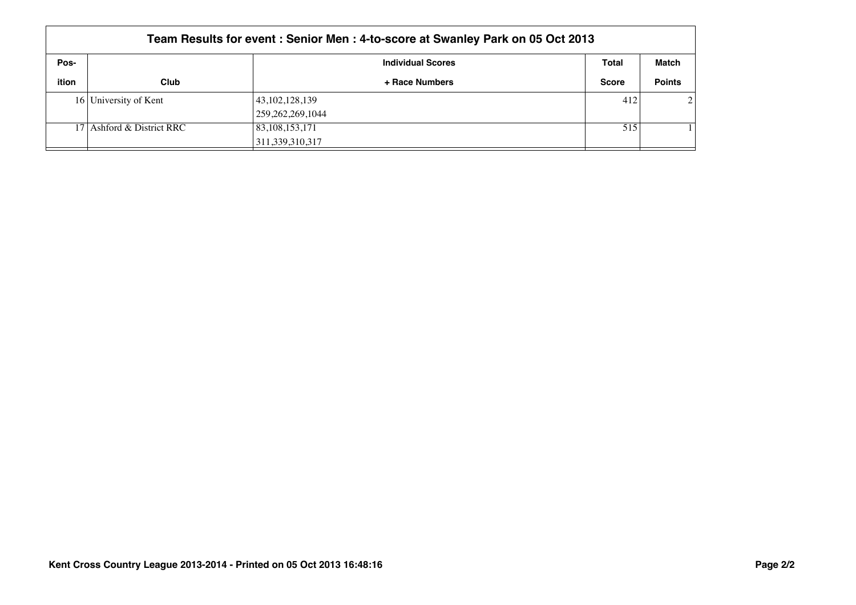|       | Team Results for event: Senior Men: 4-to-score at Swanley Park on 05 Oct 2013 |                          |              |               |  |  |
|-------|-------------------------------------------------------------------------------|--------------------------|--------------|---------------|--|--|
| Pos-  |                                                                               | <b>Individual Scores</b> | Total        | Match         |  |  |
| ition | Club                                                                          | + Race Numbers           | <b>Score</b> | <b>Points</b> |  |  |
|       | 16 University of Kent                                                         | 43, 102, 128, 139        | 412          | $\mathcal{D}$ |  |  |
|       |                                                                               | 259, 262, 269, 1044      |              |               |  |  |
|       | 17 Ashford & District RRC                                                     | 83, 108, 153, 171        | 515          |               |  |  |
|       |                                                                               | 311,339,310,317          |              |               |  |  |